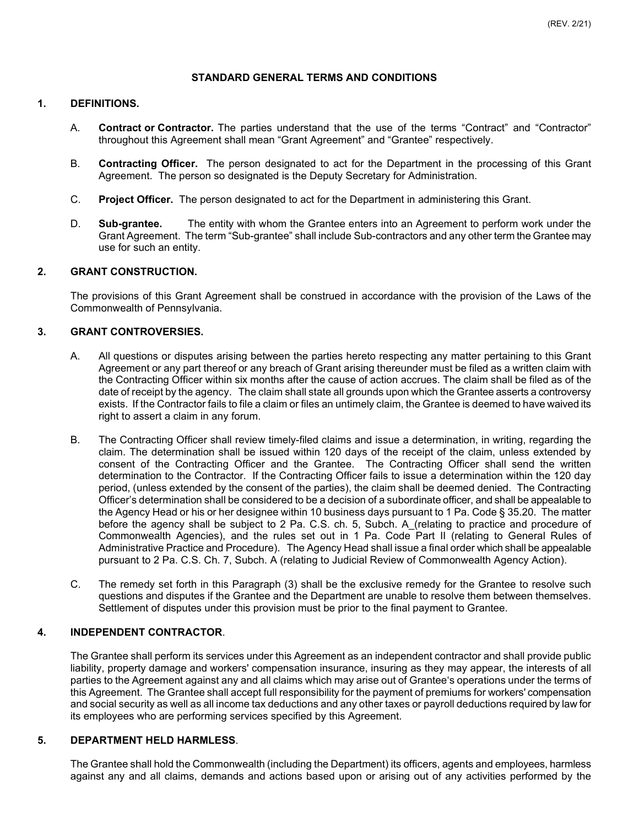## **STANDARD GENERAL TERMS AND CONDITIONS**

## **1. DEFINITIONS.**

- A. **Contract or Contractor.** The parties understand that the use of the terms "Contract" and "Contractor" throughout this Agreement shall mean "Grant Agreement" and "Grantee" respectively.
- B. **Contracting Officer.** The person designated to act for the Department in the processing of this Grant Agreement. The person so designated is the Deputy Secretary for Administration.
- C. **Project Officer.** The person designated to act for the Department in administering this Grant.
- D. **Sub-grantee.** The entity with whom the Grantee enters into an Agreement to perform work under the Grant Agreement. The term "Sub-grantee" shall include Sub-contractors and any other term the Grantee may use for such an entity.

# **2. GRANT CONSTRUCTION.**

The provisions of this Grant Agreement shall be construed in accordance with the provision of the Laws of the Commonwealth of Pennsylvania.

## **3. GRANT CONTROVERSIES.**

- A. All questions or disputes arising between the parties hereto respecting any matter pertaining to this Grant Agreement or any part thereof or any breach of Grant arising thereunder must be filed as a written claim with the Contracting Officer within six months after the cause of action accrues. The claim shall be filed as of the date of receipt by the agency. The claim shall state all grounds upon which the Grantee asserts a controversy exists. If the Contractor fails to file a claim or files an untimely claim, the Grantee is deemed to have waived its right to assert a claim in any forum.
- B. The Contracting Officer shall review timely-filed claims and issue a determination, in writing, regarding the claim. The determination shall be issued within 120 days of the receipt of the claim, unless extended by consent of the Contracting Officer and the Grantee. The Contracting Officer shall send the written determination to the Contractor. If the Contracting Officer fails to issue a determination within the 120 day period, (unless extended by the consent of the parties), the claim shall be deemed denied. The Contracting Officer's determination shall be considered to be a decision of a subordinate officer, and shall be appealable to the Agency Head or his or her designee within 10 business days pursuant to 1 Pa. Code § 35.20. The matter before the agency shall be subject to 2 Pa. C.S. ch. 5, Subch. A\_(relating to practice and procedure of Commonwealth Agencies), and the rules set out in 1 Pa. Code Part II (relating to General Rules of Administrative Practice and Procedure). The Agency Head shall issue a final order which shall be appealable pursuant to 2 Pa. C.S. Ch. 7, Subch. A (relating to Judicial Review of Commonwealth Agency Action).
- C. The remedy set forth in this Paragraph (3) shall be the exclusive remedy for the Grantee to resolve such questions and disputes if the Grantee and the Department are unable to resolve them between themselves. Settlement of disputes under this provision must be prior to the final payment to Grantee.

# **4. INDEPENDENT CONTRACTOR**.

The Grantee shall perform its services under this Agreement as an independent contractor and shall provide public liability, property damage and workers' compensation insurance, insuring as they may appear, the interests of all parties to the Agreement against any and all claims which may arise out of Grantee's operations under the terms of this Agreement. The Grantee shall accept full responsibility for the payment of premiums for workers' compensation and social security as well as all income tax deductions and any other taxes or payroll deductions required by law for its employees who are performing services specified by this Agreement.

# **5. DEPARTMENT HELD HARMLESS**.

The Grantee shall hold the Commonwealth (including the Department) its officers, agents and employees, harmless against any and all claims, demands and actions based upon or arising out of any activities performed by the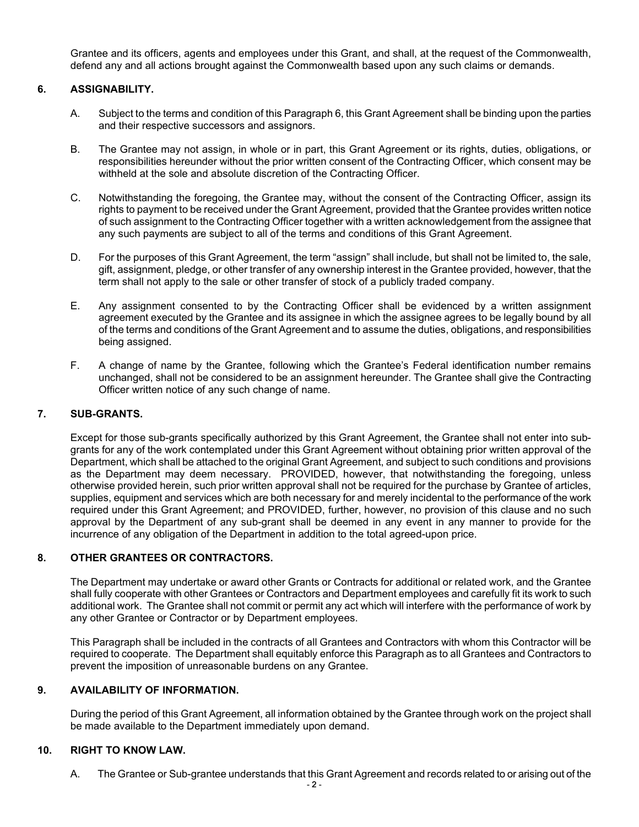Grantee and its officers, agents and employees under this Grant, and shall, at the request of the Commonwealth, defend any and all actions brought against the Commonwealth based upon any such claims or demands.

# **6. ASSIGNABILITY.**

- A. Subject to the terms and condition of this Paragraph 6, this Grant Agreement shall be binding upon the parties and their respective successors and assignors.
- B. The Grantee may not assign, in whole or in part, this Grant Agreement or its rights, duties, obligations, or responsibilities hereunder without the prior written consent of the Contracting Officer, which consent may be withheld at the sole and absolute discretion of the Contracting Officer.
- C. Notwithstanding the foregoing, the Grantee may, without the consent of the Contracting Officer, assign its rights to payment to be received under the Grant Agreement, provided that the Grantee provides written notice of such assignment to the Contracting Officer together with a written acknowledgement from the assignee that any such payments are subject to all of the terms and conditions of this Grant Agreement.
- D. For the purposes of this Grant Agreement, the term "assign" shall include, but shall not be limited to, the sale, gift, assignment, pledge, or other transfer of any ownership interest in the Grantee provided, however, that the term shall not apply to the sale or other transfer of stock of a publicly traded company.
- E. Any assignment consented to by the Contracting Officer shall be evidenced by a written assignment agreement executed by the Grantee and its assignee in which the assignee agrees to be legally bound by all of the terms and conditions of the Grant Agreement and to assume the duties, obligations, and responsibilities being assigned.
- F. A change of name by the Grantee, following which the Grantee's Federal identification number remains unchanged, shall not be considered to be an assignment hereunder. The Grantee shall give the Contracting Officer written notice of any such change of name.

# **7. SUB-GRANTS.**

Except for those sub-grants specifically authorized by this Grant Agreement, the Grantee shall not enter into subgrants for any of the work contemplated under this Grant Agreement without obtaining prior written approval of the Department, which shall be attached to the original Grant Agreement, and subject to such conditions and provisions as the Department may deem necessary. PROVIDED, however, that notwithstanding the foregoing, unless otherwise provided herein, such prior written approval shall not be required for the purchase by Grantee of articles, supplies, equipment and services which are both necessary for and merely incidental to the performance of the work required under this Grant Agreement; and PROVIDED, further, however, no provision of this clause and no such approval by the Department of any sub-grant shall be deemed in any event in any manner to provide for the incurrence of any obligation of the Department in addition to the total agreed-upon price.

# **8. OTHER GRANTEES OR CONTRACTORS.**

The Department may undertake or award other Grants or Contracts for additional or related work, and the Grantee shall fully cooperate with other Grantees or Contractors and Department employees and carefully fit its work to such additional work. The Grantee shall not commit or permit any act which will interfere with the performance of work by any other Grantee or Contractor or by Department employees.

This Paragraph shall be included in the contracts of all Grantees and Contractors with whom this Contractor will be required to cooperate. The Department shall equitably enforce this Paragraph as to all Grantees and Contractors to prevent the imposition of unreasonable burdens on any Grantee.

# **9. AVAILABILITY OF INFORMATION.**

During the period of this Grant Agreement, all information obtained by the Grantee through work on the project shall be made available to the Department immediately upon demand.

## **10. RIGHT TO KNOW LAW.**

A. The Grantee or Sub-grantee understands that this Grant Agreement and records related to or arising out of the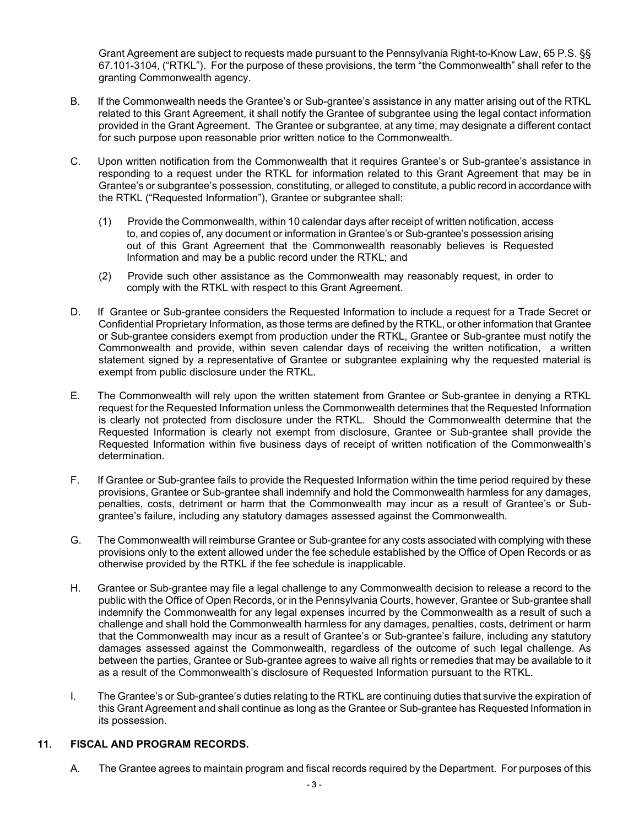Grant Agreement are subject to requests made pursuant to the Pennsylvania Right-to-Know Law, 65 P.S. §§ 67.101-3104, ("RTKL"). For the purpose of these provisions, the term "the Commonwealth" shall refer to the granting Commonwealth agency.

- B. If the Commonwealth needs the Grantee's or Sub-grantee's assistance in any matter arising out of the RTKL related to this Grant Agreement, it shall notify the Grantee of subgrantee using the legal contact information provided in the Grant Agreement. The Grantee or subgrantee, at any time, may designate a different contact for such purpose upon reasonable prior written notice to the Commonwealth.
- C. Upon written notification from the Commonwealth that it requires Grantee's or Sub-grantee's assistance in responding to a request under the RTKL for information related to this Grant Agreement that may be in Grantee's or subgrantee's possession, constituting, or alleged to constitute, a public record in accordance with the RTKL ("Requested Information"), Grantee or subgrantee shall:
	- (1) Provide the Commonwealth, within 10 calendar days after receipt of written notification, access to, and copies of, any document or information in Grantee's or Sub-grantee's possession arising out of this Grant Agreement that the Commonwealth reasonably believes is Requested Information and may be a public record under the RTKL; and
	- (2) Provide such other assistance as the Commonwealth may reasonably request, in order to comply with the RTKL with respect to this Grant Agreement.
- D. If Grantee or Sub-grantee considers the Requested Information to include a request for a Trade Secret or Confidential Proprietary Information, as those terms are defined by the RTKL, or other information that Grantee or Sub-grantee considers exempt from production under the RTKL, Grantee or Sub-grantee must notify the Commonwealth and provide, within seven calendar days of receiving the written notification, a written statement signed by a representative of Grantee or subgrantee explaining why the requested material is exempt from public disclosure under the RTKL.
- E. The Commonwealth will rely upon the written statement from Grantee or Sub-grantee in denying a RTKL request for the Requested Information unless the Commonwealth determines that the Requested Information is clearly not protected from disclosure under the RTKL. Should the Commonwealth determine that the Requested Information is clearly not exempt from disclosure, Grantee or Sub-grantee shall provide the Requested Information within five business days of receipt of written notification of the Commonwealth's determination.
- F. If Grantee or Sub-grantee fails to provide the Requested Information within the time period required by these provisions, Grantee or Sub-grantee shall indemnify and hold the Commonwealth harmless for any damages, penalties, costs, detriment or harm that the Commonwealth may incur as a result of Grantee's or Subgrantee's failure, including any statutory damages assessed against the Commonwealth.
- G. The Commonwealth will reimburse Grantee or Sub-grantee for any costs associated with complying with these provisions only to the extent allowed under the fee schedule established by the Office of Open Records or as otherwise provided by the RTKL if the fee schedule is inapplicable.
- H. Grantee or Sub-grantee may file a legal challenge to any Commonwealth decision to release a record to the public with the Office of Open Records, or in the Pennsylvania Courts, however, Grantee or Sub-grantee shall indemnify the Commonwealth for any legal expenses incurred by the Commonwealth as a result of such a challenge and shall hold the Commonwealth harmless for any damages, penalties, costs, detriment or harm that the Commonwealth may incur as a result of Grantee's or Sub-grantee's failure, including any statutory damages assessed against the Commonwealth, regardless of the outcome of such legal challenge. As between the parties, Grantee or Sub-grantee agrees to waive all rights or remedies that may be available to it as a result of the Commonwealth's disclosure of Requested Information pursuant to the RTKL.
- I. The Grantee's or Sub-grantee's duties relating to the RTKL are continuing duties that survive the expiration of this Grant Agreement and shall continue as long as the Grantee or Sub-grantee has Requested Information in its possession.

### **11. FISCAL AND PROGRAM RECORDS.**

A. The Grantee agrees to maintain program and fiscal records required by the Department. For purposes of this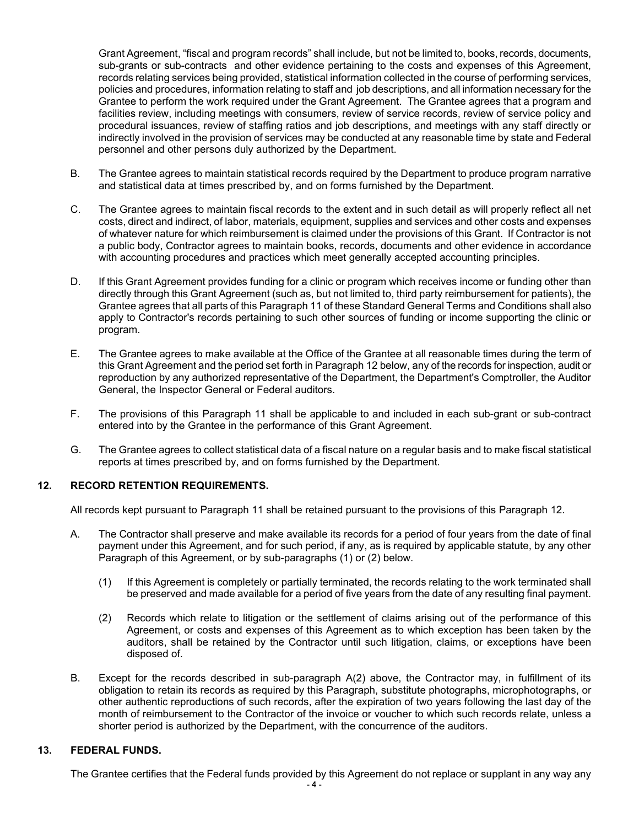Grant Agreement, "fiscal and program records" shall include, but not be limited to, books, records, documents, sub-grants or sub-contracts and other evidence pertaining to the costs and expenses of this Agreement, records relating services being provided, statistical information collected in the course of performing services, policies and procedures, information relating to staff and job descriptions, and all information necessary for the Grantee to perform the work required under the Grant Agreement. The Grantee agrees that a program and facilities review, including meetings with consumers, review of service records, review of service policy and procedural issuances, review of staffing ratios and job descriptions, and meetings with any staff directly or indirectly involved in the provision of services may be conducted at any reasonable time by state and Federal personnel and other persons duly authorized by the Department.

- B. The Grantee agrees to maintain statistical records required by the Department to produce program narrative and statistical data at times prescribed by, and on forms furnished by the Department.
- C. The Grantee agrees to maintain fiscal records to the extent and in such detail as will properly reflect all net costs, direct and indirect, of labor, materials, equipment, supplies and services and other costs and expenses of whatever nature for which reimbursement is claimed under the provisions of this Grant. If Contractor is not a public body, Contractor agrees to maintain books, records, documents and other evidence in accordance with accounting procedures and practices which meet generally accepted accounting principles.
- D. If this Grant Agreement provides funding for a clinic or program which receives income or funding other than directly through this Grant Agreement (such as, but not limited to, third party reimbursement for patients), the Grantee agrees that all parts of this Paragraph 11 of these Standard General Terms and Conditions shall also apply to Contractor's records pertaining to such other sources of funding or income supporting the clinic or program.
- E. The Grantee agrees to make available at the Office of the Grantee at all reasonable times during the term of this Grant Agreement and the period set forth in Paragraph 12 below, any of the records for inspection, audit or reproduction by any authorized representative of the Department, the Department's Comptroller, the Auditor General, the Inspector General or Federal auditors.
- F. The provisions of this Paragraph 11 shall be applicable to and included in each sub-grant or sub-contract entered into by the Grantee in the performance of this Grant Agreement.
- G. The Grantee agrees to collect statistical data of a fiscal nature on a regular basis and to make fiscal statistical reports at times prescribed by, and on forms furnished by the Department.

### **12. RECORD RETENTION REQUIREMENTS.**

All records kept pursuant to Paragraph 11 shall be retained pursuant to the provisions of this Paragraph 12.

- A. The Contractor shall preserve and make available its records for a period of four years from the date of final payment under this Agreement, and for such period, if any, as is required by applicable statute, by any other Paragraph of this Agreement, or by sub-paragraphs (1) or (2) below.
	- (1) If this Agreement is completely or partially terminated, the records relating to the work terminated shall be preserved and made available for a period of five years from the date of any resulting final payment.
	- (2) Records which relate to litigation or the settlement of claims arising out of the performance of this Agreement, or costs and expenses of this Agreement as to which exception has been taken by the auditors, shall be retained by the Contractor until such litigation, claims, or exceptions have been disposed of.
- B. Except for the records described in sub-paragraph A(2) above, the Contractor may, in fulfillment of its obligation to retain its records as required by this Paragraph, substitute photographs, microphotographs, or other authentic reproductions of such records, after the expiration of two years following the last day of the month of reimbursement to the Contractor of the invoice or voucher to which such records relate, unless a shorter period is authorized by the Department, with the concurrence of the auditors.

## **13. FEDERAL FUNDS.**

The Grantee certifies that the Federal funds provided by this Agreement do not replace or supplant in any way any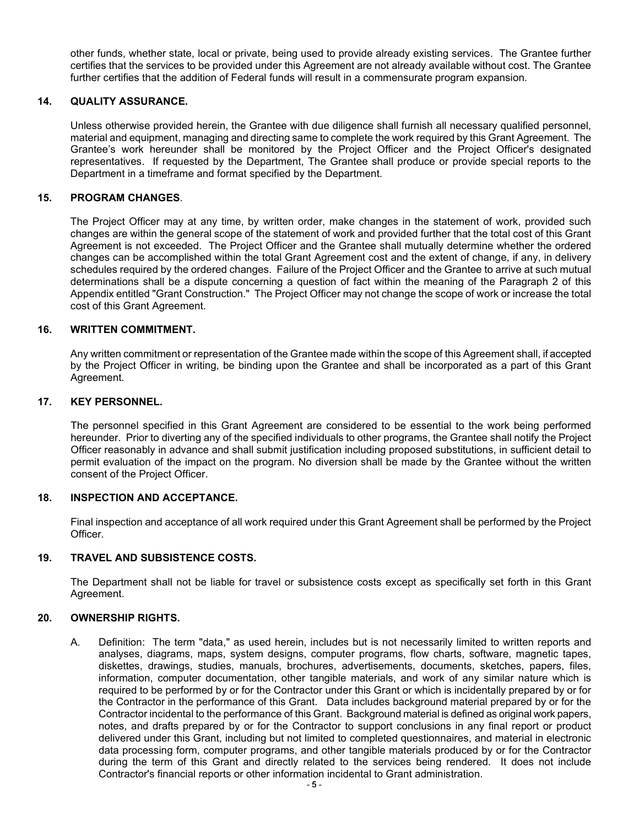other funds, whether state, local or private, being used to provide already existing services. The Grantee further certifies that the services to be provided under this Agreement are not already available without cost. The Grantee further certifies that the addition of Federal funds will result in a commensurate program expansion.

## **14. QUALITY ASSURANCE.**

Unless otherwise provided herein, the Grantee with due diligence shall furnish all necessary qualified personnel, material and equipment, managing and directing same to complete the work required by this Grant Agreement. The Grantee's work hereunder shall be monitored by the Project Officer and the Project Officer's designated representatives. If requested by the Department, The Grantee shall produce or provide special reports to the Department in a timeframe and format specified by the Department.

## **15. PROGRAM CHANGES**.

The Project Officer may at any time, by written order, make changes in the statement of work, provided such changes are within the general scope of the statement of work and provided further that the total cost of this Grant Agreement is not exceeded. The Project Officer and the Grantee shall mutually determine whether the ordered changes can be accomplished within the total Grant Agreement cost and the extent of change, if any, in delivery schedules required by the ordered changes. Failure of the Project Officer and the Grantee to arrive at such mutual determinations shall be a dispute concerning a question of fact within the meaning of the Paragraph 2 of this Appendix entitled "Grant Construction." The Project Officer may not change the scope of work or increase the total cost of this Grant Agreement.

### **16. WRITTEN COMMITMENT.**

Any written commitment or representation of the Grantee made within the scope of this Agreement shall, if accepted by the Project Officer in writing, be binding upon the Grantee and shall be incorporated as a part of this Grant Agreement.

# **17. KEY PERSONNEL.**

The personnel specified in this Grant Agreement are considered to be essential to the work being performed hereunder. Prior to diverting any of the specified individuals to other programs, the Grantee shall notify the Project Officer reasonably in advance and shall submit justification including proposed substitutions, in sufficient detail to permit evaluation of the impact on the program. No diversion shall be made by the Grantee without the written consent of the Project Officer.

### **18. INSPECTION AND ACCEPTANCE.**

Final inspection and acceptance of all work required under this Grant Agreement shall be performed by the Project Officer.

# **19. TRAVEL AND SUBSISTENCE COSTS.**

The Department shall not be liable for travel or subsistence costs except as specifically set forth in this Grant Agreement.

### **20. OWNERSHIP RIGHTS.**

A. Definition: The term "data," as used herein, includes but is not necessarily limited to written reports and analyses, diagrams, maps, system designs, computer programs, flow charts, software, magnetic tapes, diskettes, drawings, studies, manuals, brochures, advertisements, documents, sketches, papers, files, information, computer documentation, other tangible materials, and work of any similar nature which is required to be performed by or for the Contractor under this Grant or which is incidentally prepared by or for the Contractor in the performance of this Grant. Data includes background material prepared by or for the Contractor incidental to the performance of this Grant. Background material is defined as original work papers, notes, and drafts prepared by or for the Contractor to support conclusions in any final report or product delivered under this Grant, including but not limited to completed questionnaires, and material in electronic data processing form, computer programs, and other tangible materials produced by or for the Contractor during the term of this Grant and directly related to the services being rendered. It does not include Contractor's financial reports or other information incidental to Grant administration.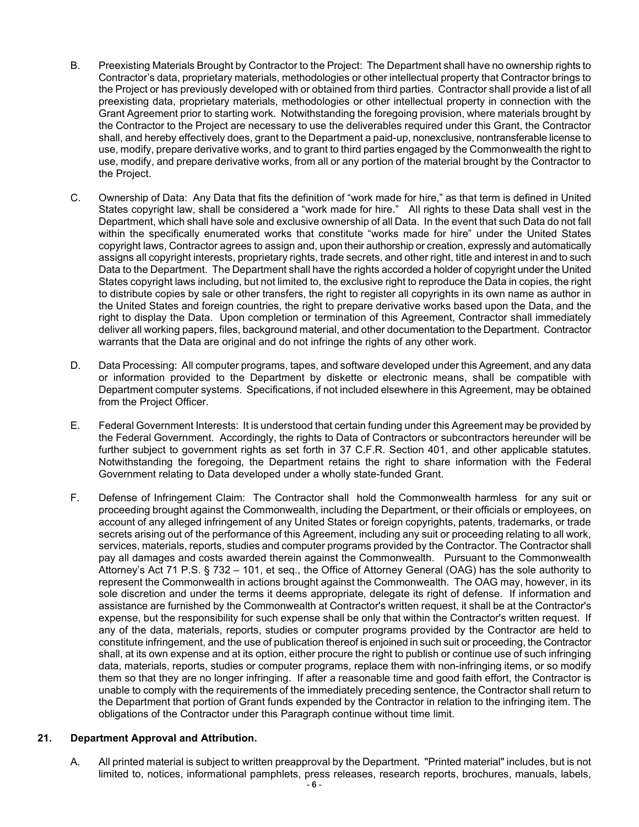- B. Preexisting Materials Brought by Contractor to the Project: The Department shall have no ownership rights to Contractor's data, proprietary materials, methodologies or other intellectual property that Contractor brings to the Project or has previously developed with or obtained from third parties. Contractor shall provide a list of all preexisting data, proprietary materials, methodologies or other intellectual property in connection with the Grant Agreement prior to starting work. Notwithstanding the foregoing provision, where materials brought by the Contractor to the Project are necessary to use the deliverables required under this Grant, the Contractor shall, and hereby effectively does, grant to the Department a paid-up, nonexclusive, nontransferable license to use, modify, prepare derivative works, and to grant to third parties engaged by the Commonwealth the right to use, modify, and prepare derivative works, from all or any portion of the material brought by the Contractor to the Project.
- C. Ownership of Data: Any Data that fits the definition of "work made for hire," as that term is defined in United States copyright law, shall be considered a "work made for hire." All rights to these Data shall vest in the Department, which shall have sole and exclusive ownership of all Data. In the event that such Data do not fall within the specifically enumerated works that constitute "works made for hire" under the United States copyright laws, Contractor agrees to assign and, upon their authorship or creation, expressly and automatically assigns all copyright interests, proprietary rights, trade secrets, and other right, title and interest in and to such Data to the Department. The Department shall have the rights accorded a holder of copyright under the United States copyright laws including, but not limited to, the exclusive right to reproduce the Data in copies, the right to distribute copies by sale or other transfers, the right to register all copyrights in its own name as author in the United States and foreign countries, the right to prepare derivative works based upon the Data, and the right to display the Data. Upon completion or termination of this Agreement, Contractor shall immediately deliver all working papers, files, background material, and other documentation to the Department. Contractor warrants that the Data are original and do not infringe the rights of any other work.
- D. Data Processing: All computer programs, tapes, and software developed under this Agreement, and any data or information provided to the Department by diskette or electronic means, shall be compatible with Department computer systems. Specifications, if not included elsewhere in this Agreement, may be obtained from the Project Officer.
- E. Federal Government Interests: It is understood that certain funding under this Agreement may be provided by the Federal Government. Accordingly, the rights to Data of Contractors or subcontractors hereunder will be further subject to government rights as set forth in 37 C.F.R. Section 401, and other applicable statutes. Notwithstanding the foregoing, the Department retains the right to share information with the Federal Government relating to Data developed under a wholly state-funded Grant.
- F. Defense of Infringement Claim: The Contractor shall hold the Commonwealth harmless for any suit or proceeding brought against the Commonwealth, including the Department, or their officials or employees, on account of any alleged infringement of any United States or foreign copyrights, patents, trademarks, or trade secrets arising out of the performance of this Agreement, including any suit or proceeding relating to all work, services, materials, reports, studies and computer programs provided by the Contractor. The Contractor shall pay all damages and costs awarded therein against the Commonwealth. Pursuant to the Commonwealth Attorney's Act 71 P.S. § 732 – 101, et seq., the Office of Attorney General (OAG) has the sole authority to represent the Commonwealth in actions brought against the Commonwealth. The OAG may, however, in its sole discretion and under the terms it deems appropriate, delegate its right of defense. If information and assistance are furnished by the Commonwealth at Contractor's written request, it shall be at the Contractor's expense, but the responsibility for such expense shall be only that within the Contractor's written request. If any of the data, materials, reports, studies or computer programs provided by the Contractor are held to constitute infringement, and the use of publication thereof is enjoined in such suit or proceeding, the Contractor shall, at its own expense and at its option, either procure the right to publish or continue use of such infringing data, materials, reports, studies or computer programs, replace them with non-infringing items, or so modify them so that they are no longer infringing. If after a reasonable time and good faith effort, the Contractor is unable to comply with the requirements of the immediately preceding sentence, the Contractor shall return to the Department that portion of Grant funds expended by the Contractor in relation to the infringing item. The obligations of the Contractor under this Paragraph continue without time limit.

### **21. Department Approval and Attribution.**

A. All printed material is subject to written preapproval by the Department. "Printed material" includes, but is not limited to, notices, informational pamphlets, press releases, research reports, brochures, manuals, labels,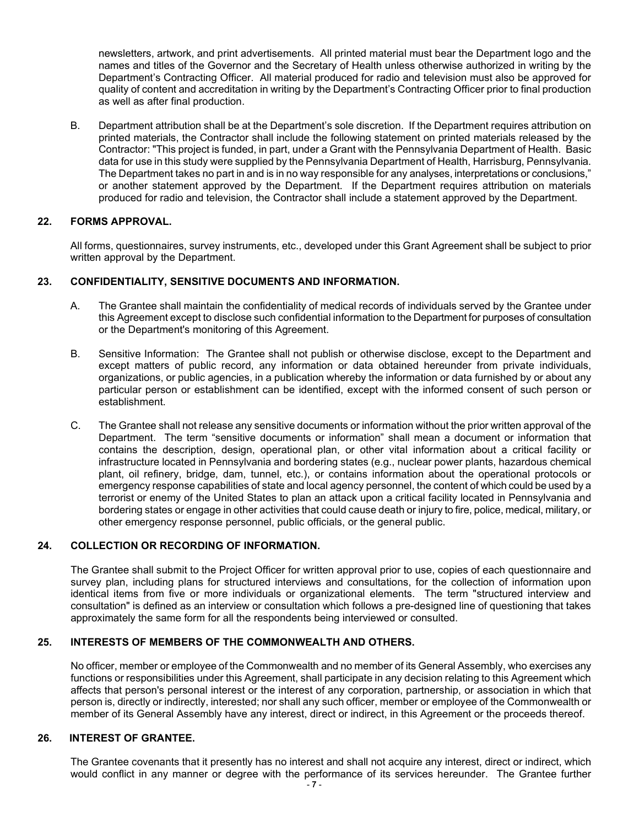newsletters, artwork, and print advertisements. All printed material must bear the Department logo and the names and titles of the Governor and the Secretary of Health unless otherwise authorized in writing by the Department's Contracting Officer. All material produced for radio and television must also be approved for quality of content and accreditation in writing by the Department's Contracting Officer prior to final production as well as after final production.

B. Department attribution shall be at the Department's sole discretion. If the Department requires attribution on printed materials, the Contractor shall include the following statement on printed materials released by the Contractor: "This project is funded, in part, under a Grant with the Pennsylvania Department of Health. Basic data for use in this study were supplied by the Pennsylvania Department of Health, Harrisburg, Pennsylvania. The Department takes no part in and is in no way responsible for any analyses, interpretations or conclusions," or another statement approved by the Department. If the Department requires attribution on materials produced for radio and television, the Contractor shall include a statement approved by the Department.

## **22. FORMS APPROVAL.**

All forms, questionnaires, survey instruments, etc., developed under this Grant Agreement shall be subject to prior written approval by the Department.

## **23. CONFIDENTIALITY, SENSITIVE DOCUMENTS AND INFORMATION.**

- A. The Grantee shall maintain the confidentiality of medical records of individuals served by the Grantee under this Agreement except to disclose such confidential information to the Department for purposes of consultation or the Department's monitoring of this Agreement.
- B. Sensitive Information: The Grantee shall not publish or otherwise disclose, except to the Department and except matters of public record, any information or data obtained hereunder from private individuals, organizations, or public agencies, in a publication whereby the information or data furnished by or about any particular person or establishment can be identified, except with the informed consent of such person or establishment.
- C. The Grantee shall not release any sensitive documents or information without the prior written approval of the Department. The term "sensitive documents or information" shall mean a document or information that contains the description, design, operational plan, or other vital information about a critical facility or infrastructure located in Pennsylvania and bordering states (e.g., nuclear power plants, hazardous chemical plant, oil refinery, bridge, dam, tunnel, etc.), or contains information about the operational protocols or emergency response capabilities of state and local agency personnel, the content of which could be used by a terrorist or enemy of the United States to plan an attack upon a critical facility located in Pennsylvania and bordering states or engage in other activities that could cause death or injury to fire, police, medical, military, or other emergency response personnel, public officials, or the general public.

## **24. COLLECTION OR RECORDING OF INFORMATION.**

The Grantee shall submit to the Project Officer for written approval prior to use, copies of each questionnaire and survey plan, including plans for structured interviews and consultations, for the collection of information upon identical items from five or more individuals or organizational elements. The term "structured interview and consultation" is defined as an interview or consultation which follows a pre-designed line of questioning that takes approximately the same form for all the respondents being interviewed or consulted.

### **25. INTERESTS OF MEMBERS OF THE COMMONWEALTH AND OTHERS.**

No officer, member or employee of the Commonwealth and no member of its General Assembly, who exercises any functions or responsibilities under this Agreement, shall participate in any decision relating to this Agreement which affects that person's personal interest or the interest of any corporation, partnership, or association in which that person is, directly or indirectly, interested; nor shall any such officer, member or employee of the Commonwealth or member of its General Assembly have any interest, direct or indirect, in this Agreement or the proceeds thereof.

### **26. INTEREST OF GRANTEE.**

The Grantee covenants that it presently has no interest and shall not acquire any interest, direct or indirect, which would conflict in any manner or degree with the performance of its services hereunder. The Grantee further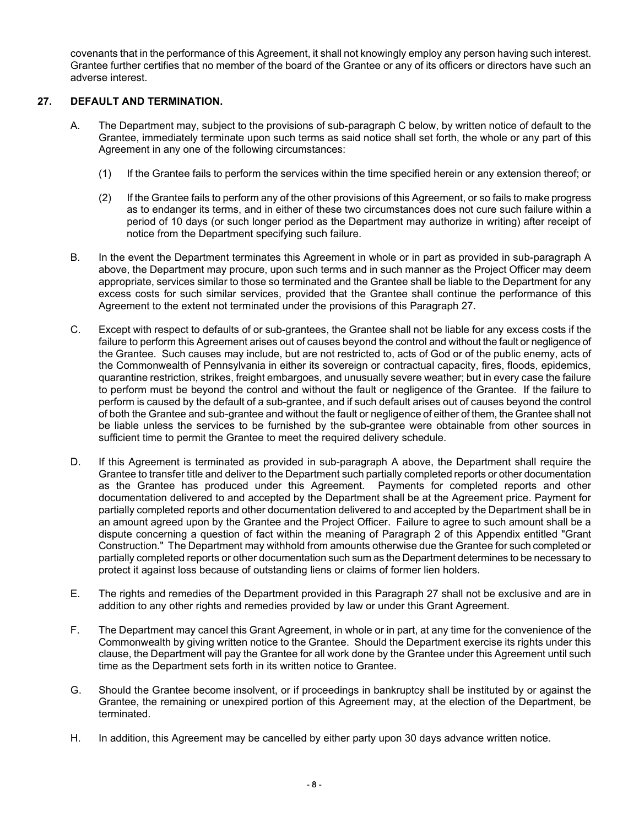covenants that in the performance of this Agreement, it shall not knowingly employ any person having such interest. Grantee further certifies that no member of the board of the Grantee or any of its officers or directors have such an adverse interest.

# **27. DEFAULT AND TERMINATION.**

- A. The Department may, subject to the provisions of sub-paragraph C below, by written notice of default to the Grantee, immediately terminate upon such terms as said notice shall set forth, the whole or any part of this Agreement in any one of the following circumstances:
	- (1) If the Grantee fails to perform the services within the time specified herein or any extension thereof; or
	- (2) If the Grantee fails to perform any of the other provisions of this Agreement, or so fails to make progress as to endanger its terms, and in either of these two circumstances does not cure such failure within a period of 10 days (or such longer period as the Department may authorize in writing) after receipt of notice from the Department specifying such failure.
- B. In the event the Department terminates this Agreement in whole or in part as provided in sub-paragraph A above, the Department may procure, upon such terms and in such manner as the Project Officer may deem appropriate, services similar to those so terminated and the Grantee shall be liable to the Department for any excess costs for such similar services, provided that the Grantee shall continue the performance of this Agreement to the extent not terminated under the provisions of this Paragraph 27.
- C. Except with respect to defaults of or sub-grantees, the Grantee shall not be liable for any excess costs if the failure to perform this Agreement arises out of causes beyond the control and without the fault or negligence of the Grantee. Such causes may include, but are not restricted to, acts of God or of the public enemy, acts of the Commonwealth of Pennsylvania in either its sovereign or contractual capacity, fires, floods, epidemics, quarantine restriction, strikes, freight embargoes, and unusually severe weather; but in every case the failure to perform must be beyond the control and without the fault or negligence of the Grantee. If the failure to perform is caused by the default of a sub-grantee, and if such default arises out of causes beyond the control of both the Grantee and sub-grantee and without the fault or negligence of either of them, the Grantee shall not be liable unless the services to be furnished by the sub-grantee were obtainable from other sources in sufficient time to permit the Grantee to meet the required delivery schedule.
- D. If this Agreement is terminated as provided in sub-paragraph A above, the Department shall require the Grantee to transfer title and deliver to the Department such partially completed reports or other documentation as the Grantee has produced under this Agreement. Payments for completed reports and other documentation delivered to and accepted by the Department shall be at the Agreement price. Payment for partially completed reports and other documentation delivered to and accepted by the Department shall be in an amount agreed upon by the Grantee and the Project Officer. Failure to agree to such amount shall be a dispute concerning a question of fact within the meaning of Paragraph 2 of this Appendix entitled "Grant Construction." The Department may withhold from amounts otherwise due the Grantee for such completed or partially completed reports or other documentation such sum as the Department determines to be necessary to protect it against loss because of outstanding liens or claims of former lien holders.
- E. The rights and remedies of the Department provided in this Paragraph 27 shall not be exclusive and are in addition to any other rights and remedies provided by law or under this Grant Agreement.
- F. The Department may cancel this Grant Agreement, in whole or in part, at any time for the convenience of the Commonwealth by giving written notice to the Grantee. Should the Department exercise its rights under this clause, the Department will pay the Grantee for all work done by the Grantee under this Agreement until such time as the Department sets forth in its written notice to Grantee.
- G. Should the Grantee become insolvent, or if proceedings in bankruptcy shall be instituted by or against the Grantee, the remaining or unexpired portion of this Agreement may, at the election of the Department, be terminated.
- H. In addition, this Agreement may be cancelled by either party upon 30 days advance written notice.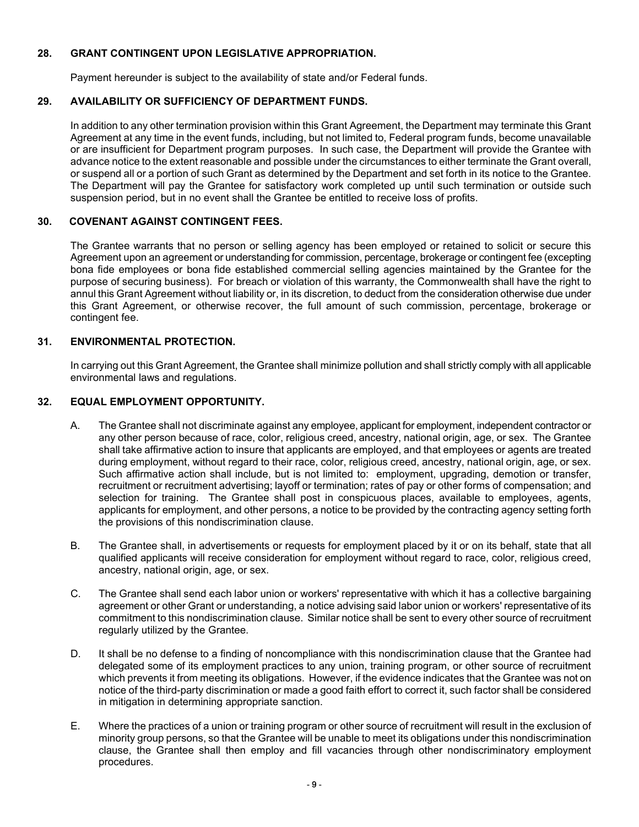## **28. GRANT CONTINGENT UPON LEGISLATIVE APPROPRIATION.**

Payment hereunder is subject to the availability of state and/or Federal funds.

# **29. AVAILABILITY OR SUFFICIENCY OF DEPARTMENT FUNDS.**

In addition to any other termination provision within this Grant Agreement, the Department may terminate this Grant Agreement at any time in the event funds, including, but not limited to, Federal program funds, become unavailable or are insufficient for Department program purposes. In such case, the Department will provide the Grantee with advance notice to the extent reasonable and possible under the circumstances to either terminate the Grant overall, or suspend all or a portion of such Grant as determined by the Department and set forth in its notice to the Grantee. The Department will pay the Grantee for satisfactory work completed up until such termination or outside such suspension period, but in no event shall the Grantee be entitled to receive loss of profits.

## **30. COVENANT AGAINST CONTINGENT FEES.**

The Grantee warrants that no person or selling agency has been employed or retained to solicit or secure this Agreement upon an agreement or understanding for commission, percentage, brokerage or contingent fee (excepting bona fide employees or bona fide established commercial selling agencies maintained by the Grantee for the purpose of securing business). For breach or violation of this warranty, the Commonwealth shall have the right to annul this Grant Agreement without liability or, in its discretion, to deduct from the consideration otherwise due under this Grant Agreement, or otherwise recover, the full amount of such commission, percentage, brokerage or contingent fee.

## **31. ENVIRONMENTAL PROTECTION.**

In carrying out this Grant Agreement, the Grantee shall minimize pollution and shall strictly comply with all applicable environmental laws and regulations.

# **32. EQUAL EMPLOYMENT OPPORTUNITY.**

- A. The Grantee shall not discriminate against any employee, applicant for employment, independent contractor or any other person because of race, color, religious creed, ancestry, national origin, age, or sex. The Grantee shall take affirmative action to insure that applicants are employed, and that employees or agents are treated during employment, without regard to their race, color, religious creed, ancestry, national origin, age, or sex. Such affirmative action shall include, but is not limited to: employment, upgrading, demotion or transfer, recruitment or recruitment advertising; layoff or termination; rates of pay or other forms of compensation; and selection for training. The Grantee shall post in conspicuous places, available to employees, agents, applicants for employment, and other persons, a notice to be provided by the contracting agency setting forth the provisions of this nondiscrimination clause.
- B. The Grantee shall, in advertisements or requests for employment placed by it or on its behalf, state that all qualified applicants will receive consideration for employment without regard to race, color, religious creed, ancestry, national origin, age, or sex.
- C. The Grantee shall send each labor union or workers' representative with which it has a collective bargaining agreement or other Grant or understanding, a notice advising said labor union or workers' representative of its commitment to this nondiscrimination clause. Similar notice shall be sent to every other source of recruitment regularly utilized by the Grantee.
- D. It shall be no defense to a finding of noncompliance with this nondiscrimination clause that the Grantee had delegated some of its employment practices to any union, training program, or other source of recruitment which prevents it from meeting its obligations. However, if the evidence indicates that the Grantee was not on notice of the third-party discrimination or made a good faith effort to correct it, such factor shall be considered in mitigation in determining appropriate sanction.
- E. Where the practices of a union or training program or other source of recruitment will result in the exclusion of minority group persons, so that the Grantee will be unable to meet its obligations under this nondiscrimination clause, the Grantee shall then employ and fill vacancies through other nondiscriminatory employment procedures.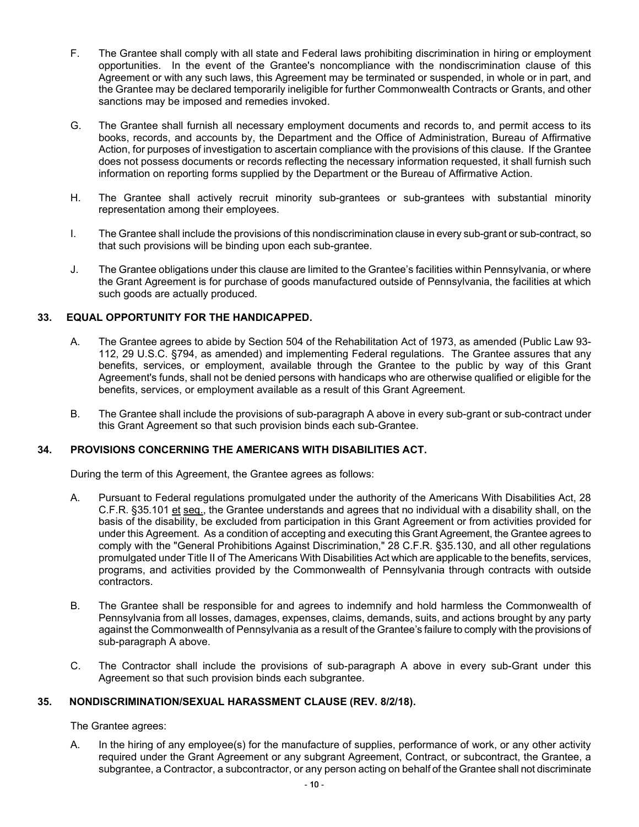- F. The Grantee shall comply with all state and Federal laws prohibiting discrimination in hiring or employment opportunities. In the event of the Grantee's noncompliance with the nondiscrimination clause of this Agreement or with any such laws, this Agreement may be terminated or suspended, in whole or in part, and the Grantee may be declared temporarily ineligible for further Commonwealth Contracts or Grants, and other sanctions may be imposed and remedies invoked.
- G. The Grantee shall furnish all necessary employment documents and records to, and permit access to its books, records, and accounts by, the Department and the Office of Administration, Bureau of Affirmative Action, for purposes of investigation to ascertain compliance with the provisions of this clause. If the Grantee does not possess documents or records reflecting the necessary information requested, it shall furnish such information on reporting forms supplied by the Department or the Bureau of Affirmative Action.
- H. The Grantee shall actively recruit minority sub-grantees or sub-grantees with substantial minority representation among their employees.
- I. The Grantee shall include the provisions of this nondiscrimination clause in every sub-grant or sub-contract, so that such provisions will be binding upon each sub-grantee.
- J. The Grantee obligations under this clause are limited to the Grantee's facilities within Pennsylvania, or where the Grant Agreement is for purchase of goods manufactured outside of Pennsylvania, the facilities at which such goods are actually produced.

## **33. EQUAL OPPORTUNITY FOR THE HANDICAPPED.**

- A. The Grantee agrees to abide by Section 504 of the Rehabilitation Act of 1973, as amended (Public Law 93- 112, 29 U.S.C. §794, as amended) and implementing Federal regulations. The Grantee assures that any benefits, services, or employment, available through the Grantee to the public by way of this Grant Agreement's funds, shall not be denied persons with handicaps who are otherwise qualified or eligible for the benefits, services, or employment available as a result of this Grant Agreement.
- B. The Grantee shall include the provisions of sub-paragraph A above in every sub-grant or sub-contract under this Grant Agreement so that such provision binds each sub-Grantee.

### **34. PROVISIONS CONCERNING THE AMERICANS WITH DISABILITIES ACT.**

During the term of this Agreement, the Grantee agrees as follows:

- A. Pursuant to Federal regulations promulgated under the authority of the Americans With Disabilities Act, 28 C.F.R. §35.101 et seq., the Grantee understands and agrees that no individual with a disability shall, on the basis of the disability, be excluded from participation in this Grant Agreement or from activities provided for under this Agreement. As a condition of accepting and executing this Grant Agreement, the Grantee agrees to comply with the "General Prohibitions Against Discrimination," 28 C.F.R. §35.130, and all other regulations promulgated under Title II of The Americans With Disabilities Act which are applicable to the benefits, services, programs, and activities provided by the Commonwealth of Pennsylvania through contracts with outside contractors.
- B. The Grantee shall be responsible for and agrees to indemnify and hold harmless the Commonwealth of Pennsylvania from all losses, damages, expenses, claims, demands, suits, and actions brought by any party against the Commonwealth of Pennsylvania as a result of the Grantee's failure to comply with the provisions of sub-paragraph A above.
- C. The Contractor shall include the provisions of sub-paragraph A above in every sub-Grant under this Agreement so that such provision binds each subgrantee.

### **35. NONDISCRIMINATION/SEXUAL HARASSMENT CLAUSE (REV. 8/2/18).**

The Grantee agrees:

A. In the hiring of any employee(s) for the manufacture of supplies, performance of work, or any other activity required under the Grant Agreement or any subgrant Agreement, Contract, or subcontract, the Grantee, a subgrantee, a Contractor, a subcontractor, or any person acting on behalf of the Grantee shall not discriminate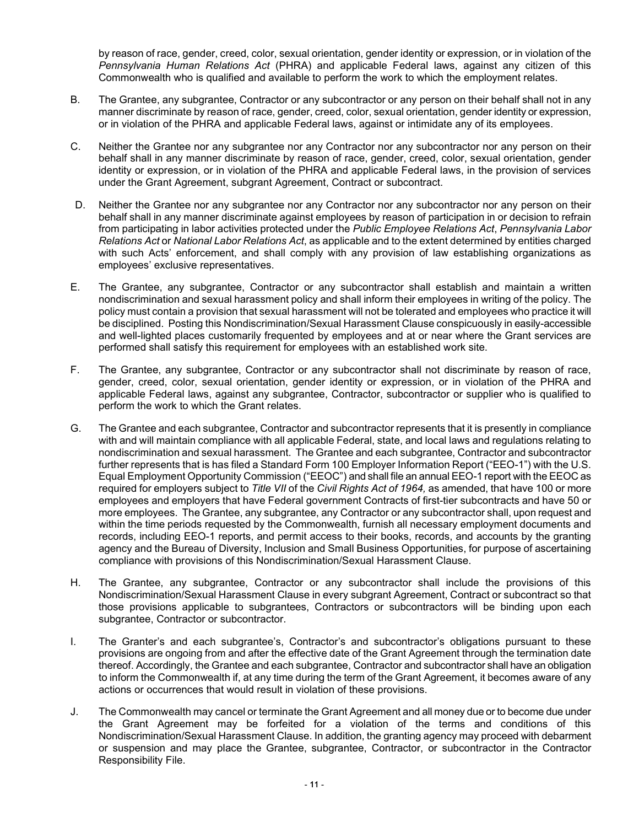by reason of race, gender, creed, color, sexual orientation, gender identity or expression, or in violation of the *Pennsylvania Human Relations Act* (PHRA) and applicable Federal laws, against any citizen of this Commonwealth who is qualified and available to perform the work to which the employment relates.

- B. The Grantee, any subgrantee, Contractor or any subcontractor or any person on their behalf shall not in any manner discriminate by reason of race, gender, creed, color, sexual orientation, gender identity or expression, or in violation of the PHRA and applicable Federal laws, against or intimidate any of its employees.
- C. Neither the Grantee nor any subgrantee nor any Contractor nor any subcontractor nor any person on their behalf shall in any manner discriminate by reason of race, gender, creed, color, sexual orientation, gender identity or expression, or in violation of the PHRA and applicable Federal laws, in the provision of services under the Grant Agreement, subgrant Agreement, Contract or subcontract.
- D. Neither the Grantee nor any subgrantee nor any Contractor nor any subcontractor nor any person on their behalf shall in any manner discriminate against employees by reason of participation in or decision to refrain from participating in labor activities protected under the *Public Employee Relations Act*, *Pennsylvania Labor Relations Act* or *National Labor Relations Act*, as applicable and to the extent determined by entities charged with such Acts' enforcement, and shall comply with any provision of law establishing organizations as employees' exclusive representatives.
- E. The Grantee, any subgrantee, Contractor or any subcontractor shall establish and maintain a written nondiscrimination and sexual harassment policy and shall inform their employees in writing of the policy. The policy must contain a provision that sexual harassment will not be tolerated and employees who practice it will be disciplined. Posting this Nondiscrimination/Sexual Harassment Clause conspicuously in easily-accessible and well-lighted places customarily frequented by employees and at or near where the Grant services are performed shall satisfy this requirement for employees with an established work site.
- F. The Grantee, any subgrantee, Contractor or any subcontractor shall not discriminate by reason of race, gender, creed, color, sexual orientation, gender identity or expression, or in violation of the PHRA and applicable Federal laws, against any subgrantee, Contractor, subcontractor or supplier who is qualified to perform the work to which the Grant relates.
- G. The Grantee and each subgrantee, Contractor and subcontractor represents that it is presently in compliance with and will maintain compliance with all applicable Federal, state, and local laws and regulations relating to nondiscrimination and sexual harassment. The Grantee and each subgrantee, Contractor and subcontractor further represents that is has filed a Standard Form 100 Employer Information Report ("EEO-1") with the U.S. Equal Employment Opportunity Commission ("EEOC") and shall file an annual EEO-1 report with the EEOC as required for employers subject to *Title VII* of the *Civil Rights Act of 1964,* as amended, that have 100 or more employees and employers that have Federal government Contracts of first-tier subcontracts and have 50 or more employees. The Grantee, any subgrantee, any Contractor or any subcontractor shall, upon request and within the time periods requested by the Commonwealth, furnish all necessary employment documents and records, including EEO-1 reports, and permit access to their books, records, and accounts by the granting agency and the Bureau of Diversity, Inclusion and Small Business Opportunities, for purpose of ascertaining compliance with provisions of this Nondiscrimination/Sexual Harassment Clause.
- H. The Grantee, any subgrantee, Contractor or any subcontractor shall include the provisions of this Nondiscrimination/Sexual Harassment Clause in every subgrant Agreement, Contract or subcontract so that those provisions applicable to subgrantees, Contractors or subcontractors will be binding upon each subgrantee, Contractor or subcontractor.
- I. The Granter's and each subgrantee's, Contractor's and subcontractor's obligations pursuant to these provisions are ongoing from and after the effective date of the Grant Agreement through the termination date thereof. Accordingly, the Grantee and each subgrantee, Contractor and subcontractor shall have an obligation to inform the Commonwealth if, at any time during the term of the Grant Agreement, it becomes aware of any actions or occurrences that would result in violation of these provisions.
- J. The Commonwealth may cancel or terminate the Grant Agreement and all money due or to become due under the Grant Agreement may be forfeited for a violation of the terms and conditions of this Nondiscrimination/Sexual Harassment Clause. In addition, the granting agency may proceed with debarment or suspension and may place the Grantee, subgrantee, Contractor, or subcontractor in the Contractor Responsibility File.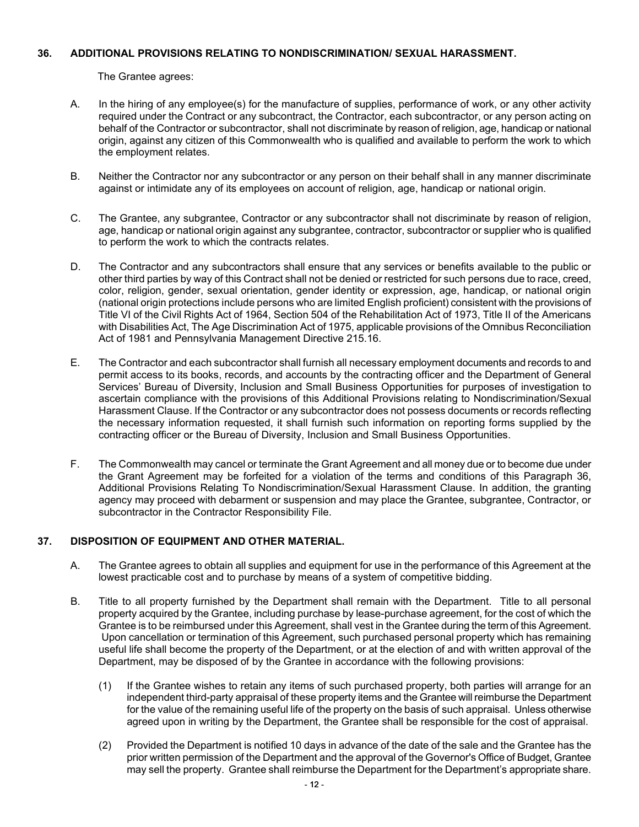### **36. ADDITIONAL PROVISIONS RELATING TO NONDISCRIMINATION/ SEXUAL HARASSMENT.**

The Grantee agrees:

- A. In the hiring of any employee(s) for the manufacture of supplies, performance of work, or any other activity required under the Contract or any subcontract, the Contractor, each subcontractor, or any person acting on behalf of the Contractor or subcontractor, shall not discriminate by reason of religion, age, handicap or national origin, against any citizen of this Commonwealth who is qualified and available to perform the work to which the employment relates.
- B. Neither the Contractor nor any subcontractor or any person on their behalf shall in any manner discriminate against or intimidate any of its employees on account of religion, age, handicap or national origin.
- C. The Grantee, any subgrantee, Contractor or any subcontractor shall not discriminate by reason of religion, age, handicap or national origin against any subgrantee, contractor, subcontractor or supplier who is qualified to perform the work to which the contracts relates.
- D. The Contractor and any subcontractors shall ensure that any services or benefits available to the public or other third parties by way of this Contract shall not be denied or restricted for such persons due to race, creed, color, religion, gender, sexual orientation, gender identity or expression, age, handicap, or national origin (national origin protections include persons who are limited English proficient) consistent with the provisions of Title VI of the Civil Rights Act of 1964, Section 504 of the Rehabilitation Act of 1973, Title II of the Americans with Disabilities Act, The Age Discrimination Act of 1975, applicable provisions of the Omnibus Reconciliation Act of 1981 and Pennsylvania Management Directive 215.16.
- E. The Contractor and each subcontractor shall furnish all necessary employment documents and records to and permit access to its books, records, and accounts by the contracting officer and the Department of General Services' Bureau of Diversity, Inclusion and Small Business Opportunities for purposes of investigation to ascertain compliance with the provisions of this Additional Provisions relating to Nondiscrimination/Sexual Harassment Clause. If the Contractor or any subcontractor does not possess documents or records reflecting the necessary information requested, it shall furnish such information on reporting forms supplied by the contracting officer or the Bureau of Diversity, Inclusion and Small Business Opportunities.
- F. The Commonwealth may cancel or terminate the Grant Agreement and all money due or to become due under the Grant Agreement may be forfeited for a violation of the terms and conditions of this Paragraph 36, Additional Provisions Relating To Nondiscrimination/Sexual Harassment Clause. In addition, the granting agency may proceed with debarment or suspension and may place the Grantee, subgrantee, Contractor, or subcontractor in the Contractor Responsibility File.

# **37. DISPOSITION OF EQUIPMENT AND OTHER MATERIAL.**

- A. The Grantee agrees to obtain all supplies and equipment for use in the performance of this Agreement at the lowest practicable cost and to purchase by means of a system of competitive bidding.
- B. Title to all property furnished by the Department shall remain with the Department. Title to all personal property acquired by the Grantee, including purchase by lease-purchase agreement, for the cost of which the Grantee is to be reimbursed under this Agreement, shall vest in the Grantee during the term of this Agreement. Upon cancellation or termination of this Agreement, such purchased personal property which has remaining useful life shall become the property of the Department, or at the election of and with written approval of the Department, may be disposed of by the Grantee in accordance with the following provisions:
	- (1) If the Grantee wishes to retain any items of such purchased property, both parties will arrange for an independent third-party appraisal of these property items and the Grantee will reimburse the Department for the value of the remaining useful life of the property on the basis of such appraisal. Unless otherwise agreed upon in writing by the Department, the Grantee shall be responsible for the cost of appraisal.
	- (2) Provided the Department is notified 10 days in advance of the date of the sale and the Grantee has the prior written permission of the Department and the approval of the Governor's Office of Budget, Grantee may sell the property. Grantee shall reimburse the Department for the Department's appropriate share.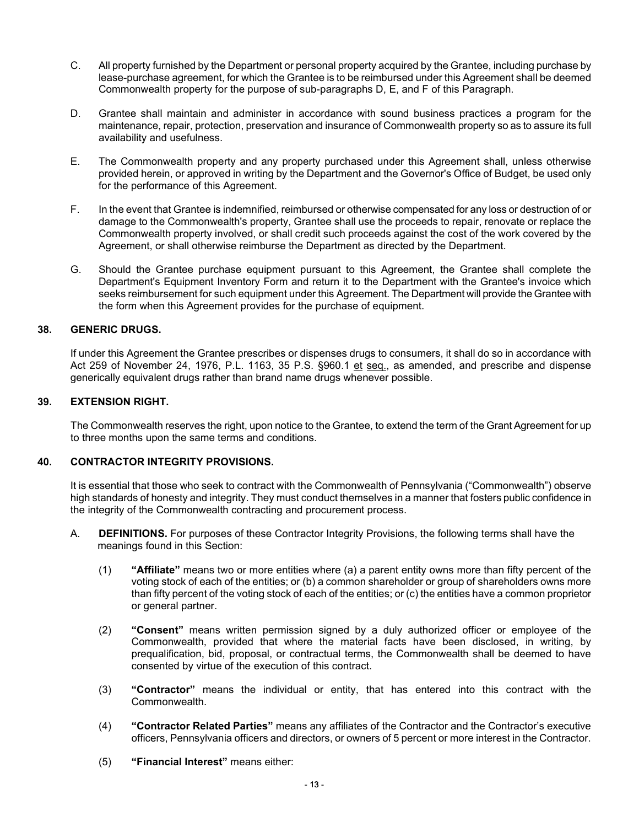- C. All property furnished by the Department or personal property acquired by the Grantee, including purchase by lease-purchase agreement, for which the Grantee is to be reimbursed under this Agreement shall be deemed Commonwealth property for the purpose of sub-paragraphs D, E, and F of this Paragraph.
- D. Grantee shall maintain and administer in accordance with sound business practices a program for the maintenance, repair, protection, preservation and insurance of Commonwealth property so as to assure its full availability and usefulness.
- E. The Commonwealth property and any property purchased under this Agreement shall, unless otherwise provided herein, or approved in writing by the Department and the Governor's Office of Budget, be used only for the performance of this Agreement.
- F. In the event that Grantee is indemnified, reimbursed or otherwise compensated for any loss or destruction of or damage to the Commonwealth's property, Grantee shall use the proceeds to repair, renovate or replace the Commonwealth property involved, or shall credit such proceeds against the cost of the work covered by the Agreement, or shall otherwise reimburse the Department as directed by the Department.
- G. Should the Grantee purchase equipment pursuant to this Agreement, the Grantee shall complete the Department's Equipment Inventory Form and return it to the Department with the Grantee's invoice which seeks reimbursement for such equipment under this Agreement. The Department will provide the Grantee with the form when this Agreement provides for the purchase of equipment.

## **38. GENERIC DRUGS.**

If under this Agreement the Grantee prescribes or dispenses drugs to consumers, it shall do so in accordance with Act 259 of November 24, 1976, P.L. 1163, 35 P.S. §960.1 et seq., as amended, and prescribe and dispense generically equivalent drugs rather than brand name drugs whenever possible.

## **39. EXTENSION RIGHT.**

The Commonwealth reserves the right, upon notice to the Grantee, to extend the term of the Grant Agreement for up to three months upon the same terms and conditions.

### **40. CONTRACTOR INTEGRITY PROVISIONS.**

It is essential that those who seek to contract with the Commonwealth of Pennsylvania ("Commonwealth") observe high standards of honesty and integrity. They must conduct themselves in a manner that fosters public confidence in the integrity of the Commonwealth contracting and procurement process.

- A. **DEFINITIONS.** For purposes of these Contractor Integrity Provisions, the following terms shall have the meanings found in this Section:
	- (1) **"Affiliate"** means two or more entities where (a) a parent entity owns more than fifty percent of the voting stock of each of the entities; or (b) a common shareholder or group of shareholders owns more than fifty percent of the voting stock of each of the entities; or (c) the entities have a common proprietor or general partner.
	- (2) **"Consent"** means written permission signed by a duly authorized officer or employee of the Commonwealth, provided that where the material facts have been disclosed, in writing, by prequalification, bid, proposal, or contractual terms, the Commonwealth shall be deemed to have consented by virtue of the execution of this contract.
	- (3) **"Contractor"** means the individual or entity, that has entered into this contract with the Commonwealth.
	- (4) **"Contractor Related Parties"** means any affiliates of the Contractor and the Contractor's executive officers, Pennsylvania officers and directors, or owners of 5 percent or more interest in the Contractor.
	- (5) **"Financial Interest"** means either: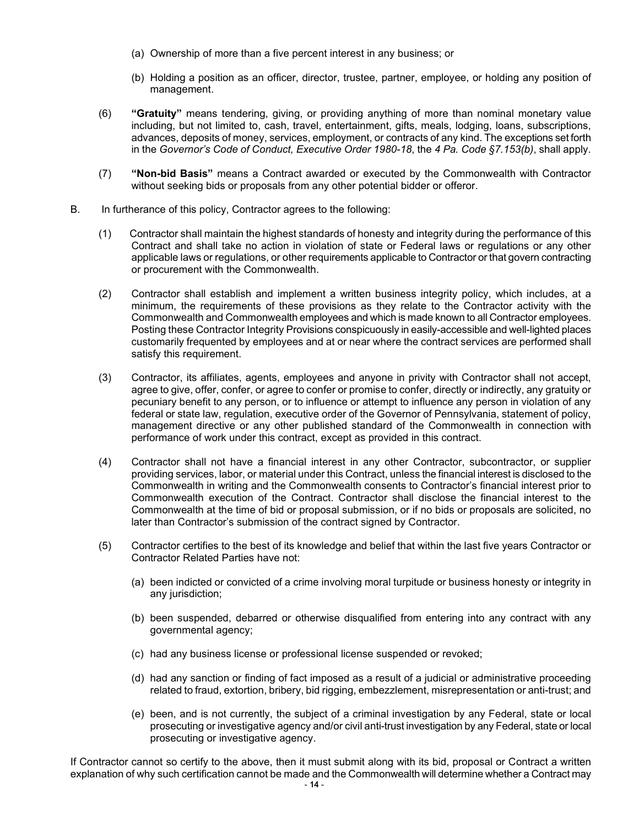- (a) Ownership of more than a five percent interest in any business; or
- (b) Holding a position as an officer, director, trustee, partner, employee, or holding any position of management.
- (6) **"Gratuity"** means tendering, giving, or providing anything of more than nominal monetary value including, but not limited to, cash, travel, entertainment, gifts, meals, lodging, loans, subscriptions, advances, deposits of money, services, employment, or contracts of any kind. The exceptions set forth in the *Governor's Code of Conduct, Executive Order 1980-18*, the *4 Pa. Code §7.153(b)*, shall apply.
- (7) **"Non-bid Basis"** means a Contract awarded or executed by the Commonwealth with Contractor without seeking bids or proposals from any other potential bidder or offeror.
- B. In furtherance of this policy, Contractor agrees to the following:
	- (1) Contractor shall maintain the highest standards of honesty and integrity during the performance of this Contract and shall take no action in violation of state or Federal laws or regulations or any other applicable laws or regulations, or other requirements applicable to Contractor or that govern contracting or procurement with the Commonwealth.
	- (2) Contractor shall establish and implement a written business integrity policy, which includes, at a minimum, the requirements of these provisions as they relate to the Contractor activity with the Commonwealth and Commonwealth employees and which is made known to all Contractor employees. Posting these Contractor Integrity Provisions conspicuously in easily-accessible and well-lighted places customarily frequented by employees and at or near where the contract services are performed shall satisfy this requirement.
	- (3) Contractor, its affiliates, agents, employees and anyone in privity with Contractor shall not accept, agree to give, offer, confer, or agree to confer or promise to confer, directly or indirectly, any gratuity or pecuniary benefit to any person, or to influence or attempt to influence any person in violation of any federal or state law, regulation, executive order of the Governor of Pennsylvania, statement of policy, management directive or any other published standard of the Commonwealth in connection with performance of work under this contract, except as provided in this contract.
	- (4) Contractor shall not have a financial interest in any other Contractor, subcontractor, or supplier providing services, labor, or material under this Contract, unless the financial interest is disclosed to the Commonwealth in writing and the Commonwealth consents to Contractor's financial interest prior to Commonwealth execution of the Contract. Contractor shall disclose the financial interest to the Commonwealth at the time of bid or proposal submission, or if no bids or proposals are solicited, no later than Contractor's submission of the contract signed by Contractor.
	- (5) Contractor certifies to the best of its knowledge and belief that within the last five years Contractor or Contractor Related Parties have not:
		- (a) been indicted or convicted of a crime involving moral turpitude or business honesty or integrity in any jurisdiction;
		- (b) been suspended, debarred or otherwise disqualified from entering into any contract with any governmental agency;
		- (c) had any business license or professional license suspended or revoked;
		- (d) had any sanction or finding of fact imposed as a result of a judicial or administrative proceeding related to fraud, extortion, bribery, bid rigging, embezzlement, misrepresentation or anti-trust; and
		- (e) been, and is not currently, the subject of a criminal investigation by any Federal, state or local prosecuting or investigative agency and/or civil anti-trust investigation by any Federal, state or local prosecuting or investigative agency.

If Contractor cannot so certify to the above, then it must submit along with its bid, proposal or Contract a written explanation of why such certification cannot be made and the Commonwealth will determine whether a Contract may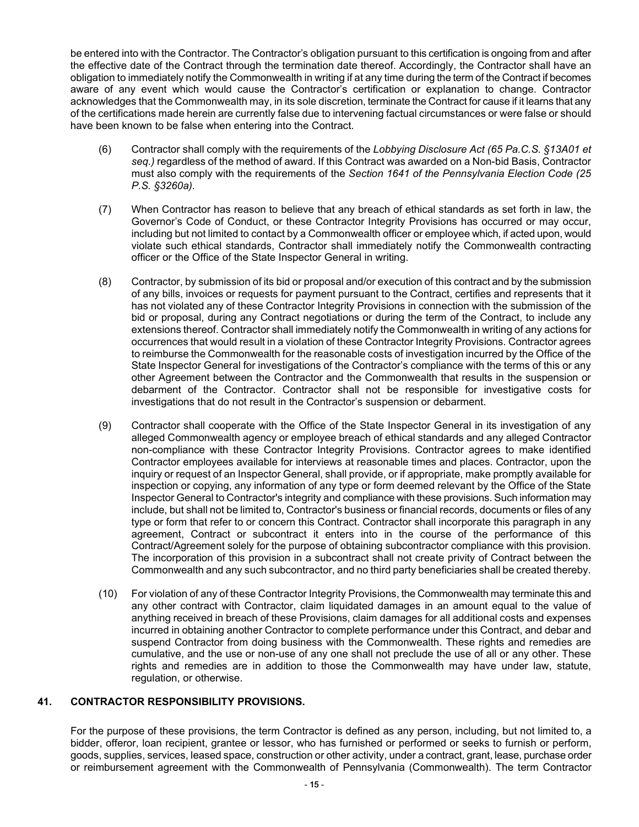be entered into with the Contractor. The Contractor's obligation pursuant to this certification is ongoing from and after the effective date of the Contract through the termination date thereof. Accordingly, the Contractor shall have an obligation to immediately notify the Commonwealth in writing if at any time during the term of the Contract if becomes aware of any event which would cause the Contractor's certification or explanation to change. Contractor acknowledges that the Commonwealth may, in its sole discretion, terminate the Contract for cause if it learns that any of the certifications made herein are currently false due to intervening factual circumstances or were false or should have been known to be false when entering into the Contract.

- (6) Contractor shall comply with the requirements of the *Lobbying Disclosure Act (65 Pa.C.S. §13A01 et seq.)* regardless of the method of award. If this Contract was awarded on a Non-bid Basis, Contractor must also comply with the requirements of the *Section 1641 of the Pennsylvania Election Code (25 P.S. §3260a).*
- (7) When Contractor has reason to believe that any breach of ethical standards as set forth in law, the Governor's Code of Conduct, or these Contractor Integrity Provisions has occurred or may occur, including but not limited to contact by a Commonwealth officer or employee which, if acted upon, would violate such ethical standards, Contractor shall immediately notify the Commonwealth contracting officer or the Office of the State Inspector General in writing.
- (8) Contractor, by submission of its bid or proposal and/or execution of this contract and by the submission of any bills, invoices or requests for payment pursuant to the Contract, certifies and represents that it has not violated any of these Contractor Integrity Provisions in connection with the submission of the bid or proposal, during any Contract negotiations or during the term of the Contract, to include any extensions thereof. Contractor shall immediately notify the Commonwealth in writing of any actions for occurrences that would result in a violation of these Contractor Integrity Provisions. Contractor agrees to reimburse the Commonwealth for the reasonable costs of investigation incurred by the Office of the State Inspector General for investigations of the Contractor's compliance with the terms of this or any other Agreement between the Contractor and the Commonwealth that results in the suspension or debarment of the Contractor. Contractor shall not be responsible for investigative costs for investigations that do not result in the Contractor's suspension or debarment.
- (9) Contractor shall cooperate with the Office of the State Inspector General in its investigation of any alleged Commonwealth agency or employee breach of ethical standards and any alleged Contractor non-compliance with these Contractor Integrity Provisions. Contractor agrees to make identified Contractor employees available for interviews at reasonable times and places. Contractor, upon the inquiry or request of an Inspector General, shall provide, or if appropriate, make promptly available for inspection or copying, any information of any type or form deemed relevant by the Office of the State Inspector General to Contractor's integrity and compliance with these provisions. Such information may include, but shall not be limited to, Contractor's business or financial records, documents or files of any type or form that refer to or concern this Contract. Contractor shall incorporate this paragraph in any agreement, Contract or subcontract it enters into in the course of the performance of this Contract/Agreement solely for the purpose of obtaining subcontractor compliance with this provision. The incorporation of this provision in a subcontract shall not create privity of Contract between the Commonwealth and any such subcontractor, and no third party beneficiaries shall be created thereby.
- (10) For violation of any of these Contractor Integrity Provisions, the Commonwealth may terminate this and any other contract with Contractor, claim liquidated damages in an amount equal to the value of anything received in breach of these Provisions, claim damages for all additional costs and expenses incurred in obtaining another Contractor to complete performance under this Contract, and debar and suspend Contractor from doing business with the Commonwealth. These rights and remedies are cumulative, and the use or non-use of any one shall not preclude the use of all or any other. These rights and remedies are in addition to those the Commonwealth may have under law, statute, regulation, or otherwise.

# **41. CONTRACTOR RESPONSIBILITY PROVISIONS.**

For the purpose of these provisions, the term Contractor is defined as any person, including, but not limited to, a bidder, offeror, loan recipient, grantee or lessor, who has furnished or performed or seeks to furnish or perform, goods, supplies, services, leased space, construction or other activity, under a contract, grant, lease, purchase order or reimbursement agreement with the Commonwealth of Pennsylvania (Commonwealth). The term Contractor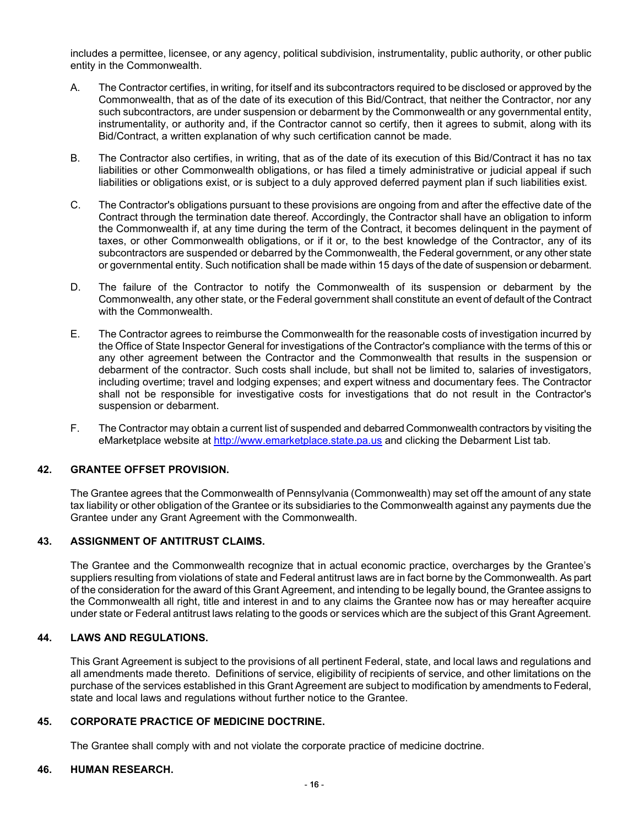includes a permittee, licensee, or any agency, political subdivision, instrumentality, public authority, or other public entity in the Commonwealth.

- A. The Contractor certifies, in writing, for itself and its subcontractors required to be disclosed or approved by the Commonwealth, that as of the date of its execution of this Bid/Contract, that neither the Contractor, nor any such subcontractors, are under suspension or debarment by the Commonwealth or any governmental entity, instrumentality, or authority and, if the Contractor cannot so certify, then it agrees to submit, along with its Bid/Contract, a written explanation of why such certification cannot be made.
- B. The Contractor also certifies, in writing, that as of the date of its execution of this Bid/Contract it has no tax liabilities or other Commonwealth obligations, or has filed a timely administrative or judicial appeal if such liabilities or obligations exist, or is subject to a duly approved deferred payment plan if such liabilities exist.
- C. The Contractor's obligations pursuant to these provisions are ongoing from and after the effective date of the Contract through the termination date thereof. Accordingly, the Contractor shall have an obligation to inform the Commonwealth if, at any time during the term of the Contract, it becomes delinquent in the payment of taxes, or other Commonwealth obligations, or if it or, to the best knowledge of the Contractor, any of its subcontractors are suspended or debarred by the Commonwealth, the Federal government, or any other state or governmental entity. Such notification shall be made within 15 days of the date of suspension or debarment.
- D. The failure of the Contractor to notify the Commonwealth of its suspension or debarment by the Commonwealth, any other state, or the Federal government shall constitute an event of default of the Contract with the Commonwealth.
- E. The Contractor agrees to reimburse the Commonwealth for the reasonable costs of investigation incurred by the Office of State Inspector General for investigations of the Contractor's compliance with the terms of this or any other agreement between the Contractor and the Commonwealth that results in the suspension or debarment of the contractor. Such costs shall include, but shall not be limited to, salaries of investigators, including overtime; travel and lodging expenses; and expert witness and documentary fees. The Contractor shall not be responsible for investigative costs for investigations that do not result in the Contractor's suspension or debarment.
- F. The Contractor may obtain a current list of suspended and debarred Commonwealth contractors by visiting the eMarketplace website at [http://www.emarketplace.state.pa.us](http://www.emarketplace.state.pa.us/) and clicking the Debarment List tab.

### **42. GRANTEE OFFSET PROVISION.**

The Grantee agrees that the Commonwealth of Pennsylvania (Commonwealth) may set off the amount of any state tax liability or other obligation of the Grantee or its subsidiaries to the Commonwealth against any payments due the Grantee under any Grant Agreement with the Commonwealth.

# **43. ASSIGNMENT OF ANTITRUST CLAIMS.**

The Grantee and the Commonwealth recognize that in actual economic practice, overcharges by the Grantee's suppliers resulting from violations of state and Federal antitrust laws are in fact borne by the Commonwealth. As part of the consideration for the award of this Grant Agreement, and intending to be legally bound, the Grantee assigns to the Commonwealth all right, title and interest in and to any claims the Grantee now has or may hereafter acquire under state or Federal antitrust laws relating to the goods or services which are the subject of this Grant Agreement.

## **44. LAWS AND REGULATIONS.**

This Grant Agreement is subject to the provisions of all pertinent Federal, state, and local laws and regulations and all amendments made thereto. Definitions of service, eligibility of recipients of service, and other limitations on the purchase of the services established in this Grant Agreement are subject to modification by amendments to Federal, state and local laws and regulations without further notice to the Grantee.

### **45. CORPORATE PRACTICE OF MEDICINE DOCTRINE.**

The Grantee shall comply with and not violate the corporate practice of medicine doctrine.

### **46. HUMAN RESEARCH.**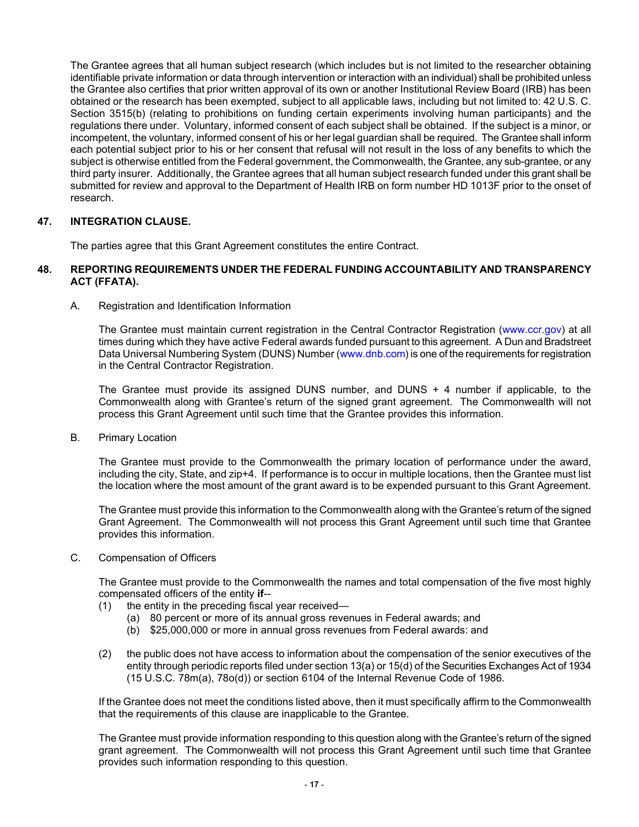The Grantee agrees that all human subject research (which includes but is not limited to the researcher obtaining identifiable private information or data through intervention or interaction with an individual) shall be prohibited unless the Grantee also certifies that prior written approval of its own or another Institutional Review Board (IRB) has been obtained or the research has been exempted, subject to all applicable laws, including but not limited to: 42 U.S. C. Section 3515(b) (relating to prohibitions on funding certain experiments involving human participants) and the regulations there under. Voluntary, informed consent of each subject shall be obtained. If the subject is a minor, or incompetent, the voluntary, informed consent of his or her legal guardian shall be required. The Grantee shall inform each potential subject prior to his or her consent that refusal will not result in the loss of any benefits to which the subject is otherwise entitled from the Federal government, the Commonwealth, the Grantee, any sub-grantee, or any third party insurer. Additionally, the Grantee agrees that all human subject research funded under this grant shall be submitted for review and approval to the Department of Health IRB on form number HD 1013F prior to the onset of research.

## **47. INTEGRATION CLAUSE.**

The parties agree that this Grant Agreement constitutes the entire Contract.

### **48. REPORTING REQUIREMENTS UNDER THE FEDERAL FUNDING ACCOUNTABILITY AND TRANSPARENCY ACT (FFATA).**

A. Registration and Identification Information

The Grantee must maintain current registration in the Central Contractor Registration [\(www.ccr.gov\)](http://www.ccr.gov/) at all times during which they have active Federal awards funded pursuant to this agreement. A Dun and Bradstreet Data Universal Numbering System (DUNS) Number [\(www.dnb.com](http://www.dnd.com/)) is one of the requirements for registration in the Central Contractor Registration.

The Grantee must provide its assigned DUNS number, and DUNS + 4 number if applicable, to the Commonwealth along with Grantee's return of the signed grant agreement. The Commonwealth will not process this Grant Agreement until such time that the Grantee provides this information.

B. Primary Location

The Grantee must provide to the Commonwealth the primary location of performance under the award, including the city, State, and zip+4. If performance is to occur in multiple locations, then the Grantee must list the location where the most amount of the grant award is to be expended pursuant to this Grant Agreement.

The Grantee must provide this information to the Commonwealth along with the Grantee's return of the signed Grant Agreement. The Commonwealth will not process this Grant Agreement until such time that Grantee provides this information.

C. Compensation of Officers

The Grantee must provide to the Commonwealth the names and total compensation of the five most highly compensated officers of the entity **if**--

- (1) the entity in the preceding fiscal year received—
	- (a) 80 percent or more of its annual gross revenues in Federal awards; and
	- (b) \$25,000,000 or more in annual gross revenues from Federal awards: and
- (2) the public does not have access to information about the compensation of the senior executives of the entity through periodic reports filed under section 13(a) or 15(d) of the Securities Exchanges Act of 1934 (15 U.S.C. 78m(a), 78o(d)) or section 6104 of the Internal Revenue Code of 1986.

If the Grantee does not meet the conditions listed above, then it must specifically affirm to the Commonwealth that the requirements of this clause are inapplicable to the Grantee.

The Grantee must provide information responding to this question along with the Grantee's return of the signed grant agreement. The Commonwealth will not process this Grant Agreement until such time that Grantee provides such information responding to this question.